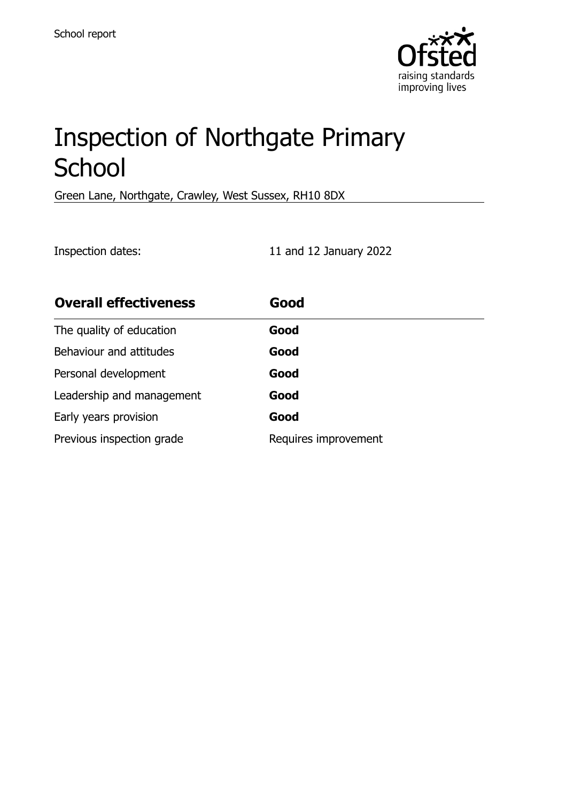

# Inspection of Northgate Primary **School**

Green Lane, Northgate, Crawley, West Sussex, RH10 8DX

Inspection dates: 11 and 12 January 2022

| <b>Overall effectiveness</b> | Good                 |
|------------------------------|----------------------|
| The quality of education     | Good                 |
| Behaviour and attitudes      | Good                 |
| Personal development         | Good                 |
| Leadership and management    | Good                 |
| Early years provision        | Good                 |
| Previous inspection grade    | Requires improvement |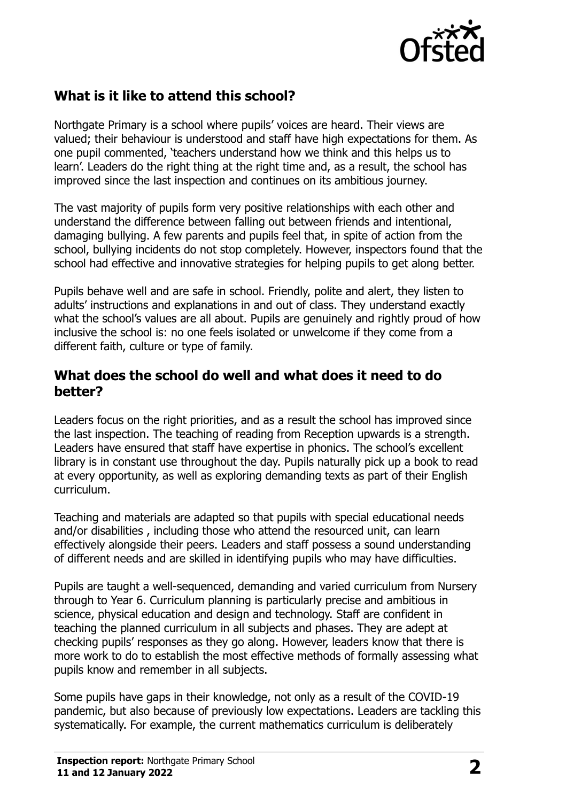

# **What is it like to attend this school?**

Northgate Primary is a school where pupils' voices are heard. Their views are valued; their behaviour is understood and staff have high expectations for them. As one pupil commented, 'teachers understand how we think and this helps us to learn'. Leaders do the right thing at the right time and, as a result, the school has improved since the last inspection and continues on its ambitious journey.

The vast majority of pupils form very positive relationships with each other and understand the difference between falling out between friends and intentional, damaging bullying. A few parents and pupils feel that, in spite of action from the school, bullying incidents do not stop completely. However, inspectors found that the school had effective and innovative strategies for helping pupils to get along better.

Pupils behave well and are safe in school. Friendly, polite and alert, they listen to adults' instructions and explanations in and out of class. They understand exactly what the school's values are all about. Pupils are genuinely and rightly proud of how inclusive the school is: no one feels isolated or unwelcome if they come from a different faith, culture or type of family.

#### **What does the school do well and what does it need to do better?**

Leaders focus on the right priorities, and as a result the school has improved since the last inspection. The teaching of reading from Reception upwards is a strength. Leaders have ensured that staff have expertise in phonics. The school's excellent library is in constant use throughout the day. Pupils naturally pick up a book to read at every opportunity, as well as exploring demanding texts as part of their English curriculum.

Teaching and materials are adapted so that pupils with special educational needs and/or disabilities , including those who attend the resourced unit, can learn effectively alongside their peers. Leaders and staff possess a sound understanding of different needs and are skilled in identifying pupils who may have difficulties.

Pupils are taught a well-sequenced, demanding and varied curriculum from Nursery through to Year 6. Curriculum planning is particularly precise and ambitious in science, physical education and design and technology. Staff are confident in teaching the planned curriculum in all subjects and phases. They are adept at checking pupils' responses as they go along. However, leaders know that there is more work to do to establish the most effective methods of formally assessing what pupils know and remember in all subjects.

Some pupils have gaps in their knowledge, not only as a result of the COVID-19 pandemic, but also because of previously low expectations. Leaders are tackling this systematically. For example, the current mathematics curriculum is deliberately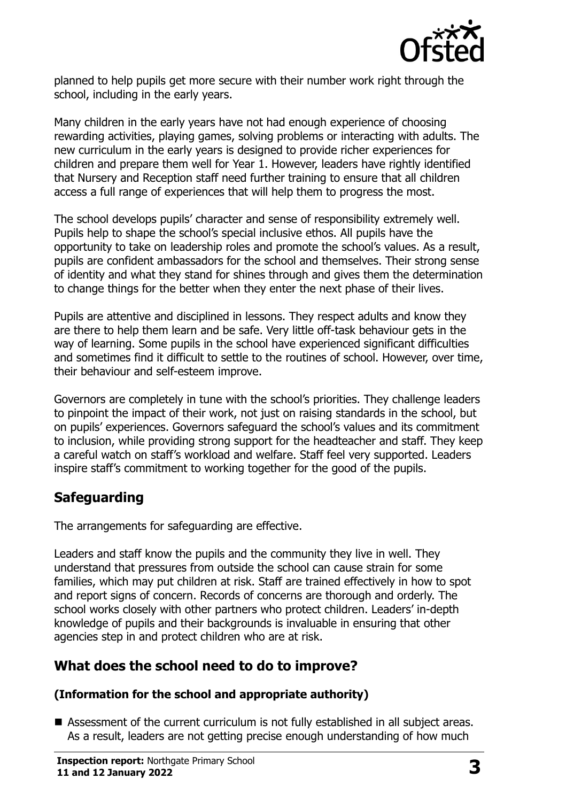

planned to help pupils get more secure with their number work right through the school, including in the early years.

Many children in the early years have not had enough experience of choosing rewarding activities, playing games, solving problems or interacting with adults. The new curriculum in the early years is designed to provide richer experiences for children and prepare them well for Year 1. However, leaders have rightly identified that Nursery and Reception staff need further training to ensure that all children access a full range of experiences that will help them to progress the most.

The school develops pupils' character and sense of responsibility extremely well. Pupils help to shape the school's special inclusive ethos. All pupils have the opportunity to take on leadership roles and promote the school's values. As a result, pupils are confident ambassadors for the school and themselves. Their strong sense of identity and what they stand for shines through and gives them the determination to change things for the better when they enter the next phase of their lives.

Pupils are attentive and disciplined in lessons. They respect adults and know they are there to help them learn and be safe. Very little off-task behaviour gets in the way of learning. Some pupils in the school have experienced significant difficulties and sometimes find it difficult to settle to the routines of school. However, over time, their behaviour and self-esteem improve.

Governors are completely in tune with the school's priorities. They challenge leaders to pinpoint the impact of their work, not just on raising standards in the school, but on pupils' experiences. Governors safeguard the school's values and its commitment to inclusion, while providing strong support for the headteacher and staff. They keep a careful watch on staff's workload and welfare. Staff feel very supported. Leaders inspire staff's commitment to working together for the good of the pupils.

# **Safeguarding**

The arrangements for safeguarding are effective.

Leaders and staff know the pupils and the community they live in well. They understand that pressures from outside the school can cause strain for some families, which may put children at risk. Staff are trained effectively in how to spot and report signs of concern. Records of concerns are thorough and orderly. The school works closely with other partners who protect children. Leaders' in-depth knowledge of pupils and their backgrounds is invaluable in ensuring that other agencies step in and protect children who are at risk.

# **What does the school need to do to improve?**

#### **(Information for the school and appropriate authority)**

 Assessment of the current curriculum is not fully established in all subject areas. As a result, leaders are not getting precise enough understanding of how much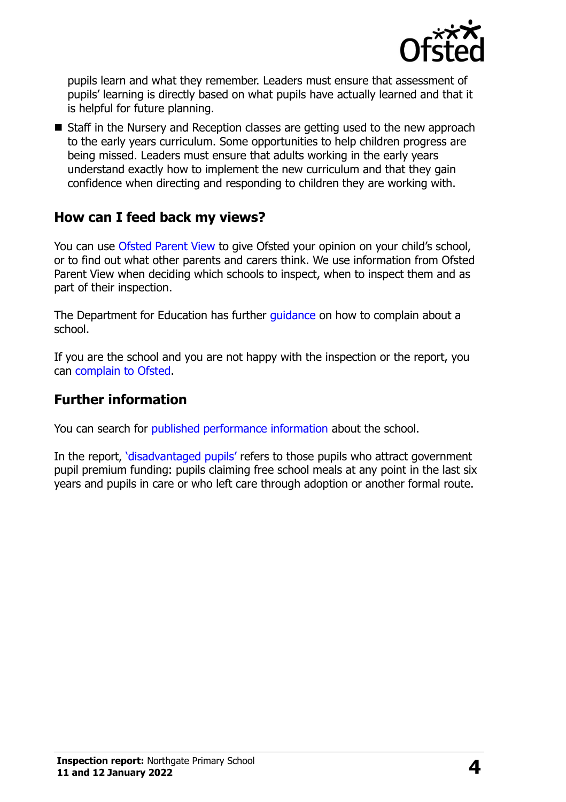

pupils learn and what they remember. Leaders must ensure that assessment of pupils' learning is directly based on what pupils have actually learned and that it is helpful for future planning.

■ Staff in the Nursery and Reception classes are getting used to the new approach to the early years curriculum. Some opportunities to help children progress are being missed. Leaders must ensure that adults working in the early years understand exactly how to implement the new curriculum and that they gain confidence when directing and responding to children they are working with.

### **How can I feed back my views?**

You can use [Ofsted Parent View](http://parentview.ofsted.gov.uk/) to give Ofsted your opinion on your child's school, or to find out what other parents and carers think. We use information from Ofsted Parent View when deciding which schools to inspect, when to inspect them and as part of their inspection.

The Department for Education has further quidance on how to complain about a school.

If you are the school and you are not happy with the inspection or the report, you can [complain to Ofsted.](http://www.gov.uk/complain-ofsted-report)

#### **Further information**

You can search for [published performance information](http://www.compare-school-performance.service.gov.uk/) about the school.

In the report, '[disadvantaged pupils](http://www.gov.uk/guidance/pupil-premium-information-for-schools-and-alternative-provision-settings)' refers to those pupils who attract government pupil premium funding: pupils claiming free school meals at any point in the last six years and pupils in care or who left care through adoption or another formal route.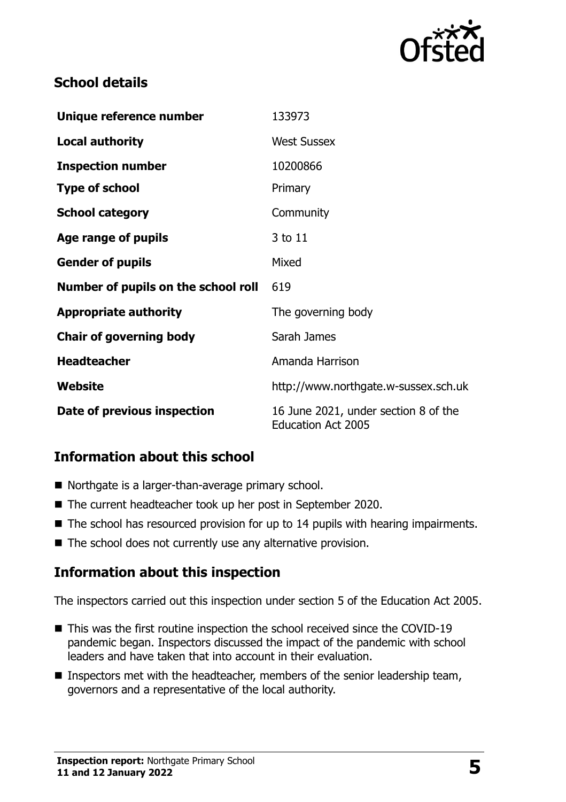

# **School details**

| Unique reference number             | 133973                                                            |  |
|-------------------------------------|-------------------------------------------------------------------|--|
| <b>Local authority</b>              | <b>West Sussex</b>                                                |  |
| <b>Inspection number</b>            | 10200866                                                          |  |
| <b>Type of school</b>               | Primary                                                           |  |
| <b>School category</b>              | Community                                                         |  |
| Age range of pupils                 | 3 to 11                                                           |  |
| <b>Gender of pupils</b>             | Mixed                                                             |  |
| Number of pupils on the school roll | 619                                                               |  |
| <b>Appropriate authority</b>        | The governing body                                                |  |
| <b>Chair of governing body</b>      | Sarah James                                                       |  |
| <b>Headteacher</b>                  | Amanda Harrison                                                   |  |
| Website                             | http://www.northgate.w-sussex.sch.uk                              |  |
| Date of previous inspection         | 16 June 2021, under section 8 of the<br><b>Education Act 2005</b> |  |

# **Information about this school**

- Northgate is a larger-than-average primary school.
- The current headteacher took up her post in September 2020.
- $\blacksquare$  The school has resourced provision for up to 14 pupils with hearing impairments.
- $\blacksquare$  The school does not currently use any alternative provision.

#### **Information about this inspection**

The inspectors carried out this inspection under section 5 of the Education Act 2005.

- This was the first routine inspection the school received since the COVID-19 pandemic began. Inspectors discussed the impact of the pandemic with school leaders and have taken that into account in their evaluation.
- **Inspectors met with the headteacher, members of the senior leadership team,** governors and a representative of the local authority.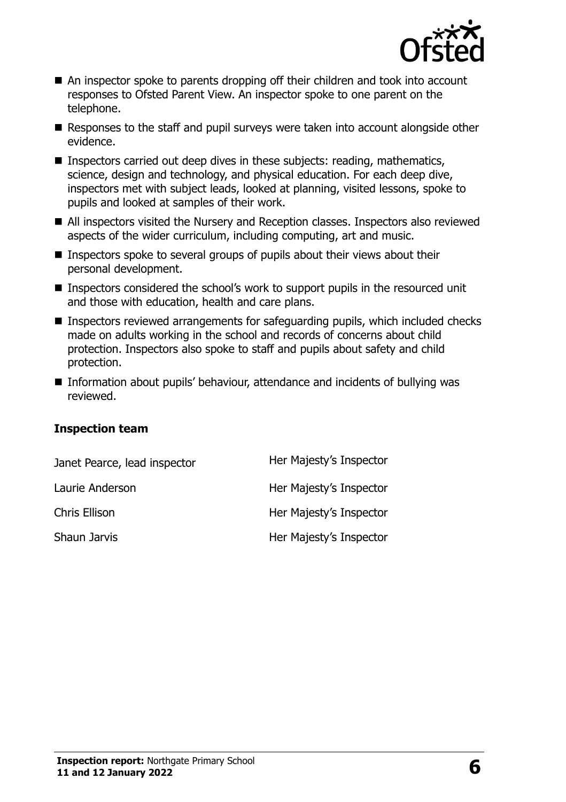

- An inspector spoke to parents dropping off their children and took into account responses to Ofsted Parent View. An inspector spoke to one parent on the telephone.
- Responses to the staff and pupil surveys were taken into account alongside other evidence.
- Inspectors carried out deep dives in these subjects: reading, mathematics, science, design and technology, and physical education. For each deep dive, inspectors met with subject leads, looked at planning, visited lessons, spoke to pupils and looked at samples of their work.
- All inspectors visited the Nursery and Reception classes. Inspectors also reviewed aspects of the wider curriculum, including computing, art and music.
- **Inspectors spoke to several groups of pupils about their views about their** personal development.
- Inspectors considered the school's work to support pupils in the resourced unit and those with education, health and care plans.
- Inspectors reviewed arrangements for safeguarding pupils, which included checks made on adults working in the school and records of concerns about child protection. Inspectors also spoke to staff and pupils about safety and child protection.
- Information about pupils' behaviour, attendance and incidents of bullying was reviewed.

#### **Inspection team**

| Janet Pearce, lead inspector | Her Majesty's Inspector |
|------------------------------|-------------------------|
| Laurie Anderson              | Her Majesty's Inspector |
| <b>Chris Ellison</b>         | Her Majesty's Inspector |
| Shaun Jarvis                 | Her Majesty's Inspector |